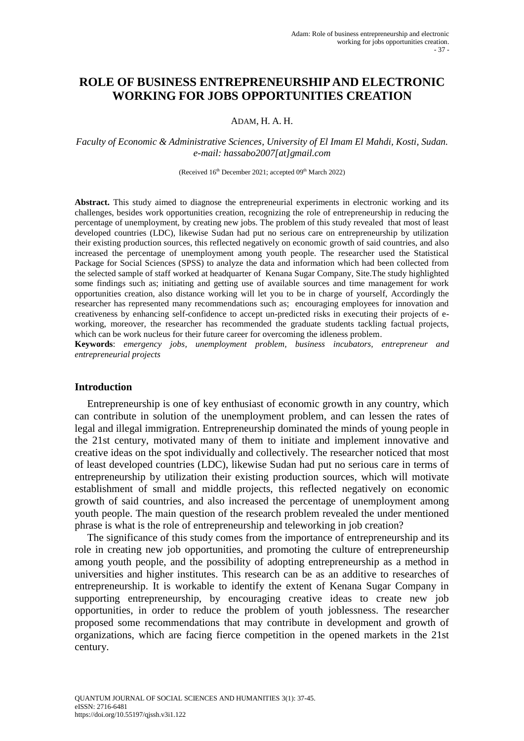# **ROLE OF BUSINESS ENTREPRENEURSHIP AND ELECTRONIC WORKING FOR JOBS OPPORTUNITIES CREATION**

#### ADAM, H. A. H.

*Faculty of Economic & Administrative Sciences, University of El Imam El Mahdi, Kosti, Sudan. e-mail: hassabo2007[at]gmail.com*

(Received 16<sup>th</sup> December 2021; accepted 09<sup>th</sup> March 2022)

**Abstract.** This study aimed to diagnose the entrepreneurial experiments in electronic working and its challenges, besides work opportunities creation, recognizing the role of entrepreneurship in reducing the percentage of unemployment, by creating new jobs. The problem of this study revealed that most of least developed countries (LDC), likewise Sudan had put no serious care on entrepreneurship by utilization their existing production sources, this reflected negatively on economic growth of said countries, and also increased the percentage of unemployment among youth people. The researcher used the Statistical Package for Social Sciences (SPSS) to analyze the data and information which had been collected from the selected sample of staff worked at headquarter of Kenana Sugar Company, Site.The study highlighted some findings such as; initiating and getting use of available sources and time management for work opportunities creation, also distance working will let you to be in charge of yourself, Accordingly the researcher has represented many recommendations such as; encouraging employees for innovation and creativeness by enhancing self-confidence to accept un-predicted risks in executing their projects of eworking, moreover, the researcher has recommended the graduate students tackling factual projects, which can be work nucleus for their future career for overcoming the idleness problem.

**Keywords**: *emergency jobs, unemployment problem, business incubators, entrepreneur and entrepreneurial projects*

#### **Introduction**

Entrepreneurship is one of key enthusiast of economic growth in any country, which can contribute in solution of the unemployment problem, and can lessen the rates of legal and illegal immigration. Entrepreneurship dominated the minds of young people in the 21st century, motivated many of them to initiate and implement innovative and creative ideas on the spot individually and collectively. The researcher noticed that most of least developed countries (LDC), likewise Sudan had put no serious care in terms of entrepreneurship by utilization their existing production sources, which will motivate establishment of small and middle projects, this reflected negatively on economic growth of said countries, and also increased the percentage of unemployment among youth people. The main question of the research problem revealed the under mentioned phrase is what is the role of entrepreneurship and teleworking in job creation?

The significance of this study comes from the importance of entrepreneurship and its role in creating new job opportunities, and promoting the culture of entrepreneurship among youth people, and the possibility of adopting entrepreneurship as a method in universities and higher institutes. This research can be as an additive to researches of entrepreneurship. It is workable to identify the extent of Kenana Sugar Company in supporting entrepreneurship, by encouraging creative ideas to create new job opportunities, in order to reduce the problem of youth joblessness. The researcher proposed some recommendations that may contribute in development and growth of organizations, which are facing fierce competition in the opened markets in the 21st century.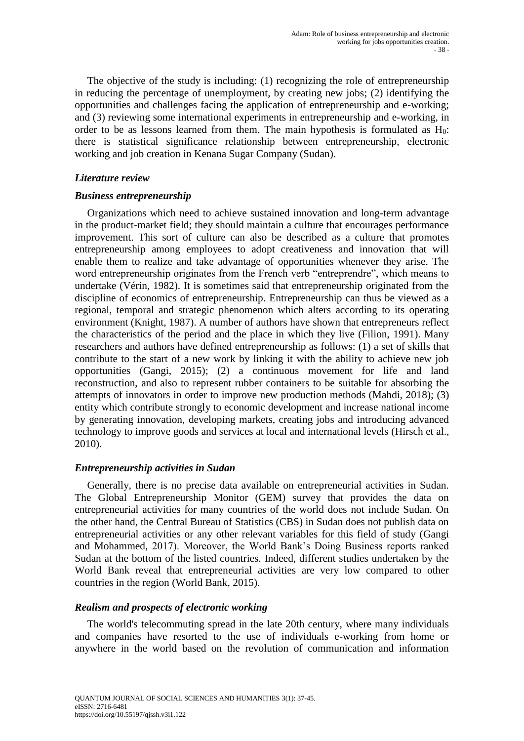The objective of the study is including: (1) recognizing the role of entrepreneurship in reducing the percentage of unemployment, by creating new jobs; (2) identifying the opportunities and challenges facing the application of entrepreneurship and e-working; and (3) reviewing some international experiments in entrepreneurship and e-working, in order to be as lessons learned from them. The main hypothesis is formulated as  $H_0$ : there is statistical significance relationship between entrepreneurship, electronic working and job creation in Kenana Sugar Company (Sudan).

## *Literature review*

## *Business entrepreneurship*

Organizations which need to achieve sustained innovation and long-term advantage in the product-market field; they should maintain a culture that encourages performance improvement. This sort of culture can also be described as a culture that promotes entrepreneurship among employees to adopt creativeness and innovation that will enable them to realize and take advantage of opportunities whenever they arise. The word entrepreneurship originates from the French verb "entreprendre", which means to undertake (Vérin, 1982). It is sometimes said that entrepreneurship originated from the discipline of economics of entrepreneurship. Entrepreneurship can thus be viewed as a regional, temporal and strategic phenomenon which alters according to its operating environment (Knight, 1987). A number of authors have shown that entrepreneurs reflect the characteristics of the period and the place in which they live (Filion, 1991). Many researchers and authors have defined entrepreneurship as follows: (1) a set of skills that contribute to the start of a new work by linking it with the ability to achieve new job opportunities (Gangi, 2015); (2) a continuous movement for life and land reconstruction, and also to represent rubber containers to be suitable for absorbing the attempts of innovators in order to improve new production methods (Mahdi, 2018); (3) entity which contribute strongly to economic development and increase national income by generating innovation, developing markets, creating jobs and introducing advanced technology to improve goods and services at local and international levels (Hirsch et al., 2010).

## *Entrepreneurship activities in Sudan*

Generally, there is no precise data available on entrepreneurial activities in Sudan. The Global Entrepreneurship Monitor (GEM) survey that provides the data on entrepreneurial activities for many countries of the world does not include Sudan. On the other hand, the Central Bureau of Statistics (CBS) in Sudan does not publish data on entrepreneurial activities or any other relevant variables for this field of study (Gangi and Mohammed, 2017). Moreover, the World Bank's Doing Business reports ranked Sudan at the bottom of the listed countries. Indeed, different studies undertaken by the World Bank reveal that entrepreneurial activities are very low compared to other countries in the region (World Bank, 2015).

## *Realism and prospects of electronic working*

The world's telecommuting spread in the late 20th century, where many individuals and companies have resorted to the use of individuals e-working from home or anywhere in the world based on the revolution of communication and information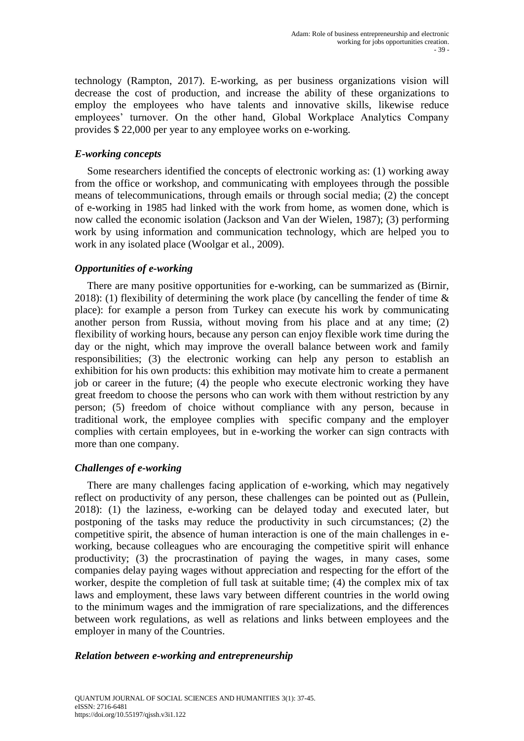technology (Rampton, 2017). E-working, as per business organizations vision will decrease the cost of production, and increase the ability of these organizations to employ the employees who have talents and innovative skills, likewise reduce employees' turnover. On the other hand, Global Workplace Analytics Company provides \$ 22,000 per year to any employee works on e-working.

## *E-working concepts*

Some researchers identified the concepts of electronic working as: (1) working away from the office or workshop, and communicating with employees through the possible means of telecommunications, through emails or through social media; (2) the concept of e-working in 1985 had linked with the work from home, as women done, which is now called the economic isolation (Jackson and Van der Wielen, 1987); (3) performing work by using information and communication technology, which are helped you to work in any isolated place (Woolgar et al., 2009).

### *Opportunities of e-working*

There are many positive opportunities for e-working, can be summarized as (Birnir, 2018): (1) flexibility of determining the work place (by cancelling the fender of time  $\&$ place): for example a person from Turkey can execute his work by communicating another person from Russia, without moving from his place and at any time; (2) flexibility of working hours, because any person can enjoy flexible work time during the day or the night, which may improve the overall balance between work and family responsibilities; (3) the electronic working can help any person to establish an exhibition for his own products: this exhibition may motivate him to create a permanent job or career in the future; (4) the people who execute electronic working they have great freedom to choose the persons who can work with them without restriction by any person; (5) freedom of choice without compliance with any person, because in traditional work, the employee complies with specific company and the employer complies with certain employees, but in e-working the worker can sign contracts with more than one company.

## *Challenges of e-working*

There are many challenges facing application of e-working, which may negatively reflect on productivity of any person, these challenges can be pointed out as (Pullein, 2018): (1) the laziness, e-working can be delayed today and executed later, but postponing of the tasks may reduce the productivity in such circumstances; (2) the competitive spirit, the absence of human interaction is one of the main challenges in eworking, because colleagues who are encouraging the competitive spirit will enhance productivity; (3) the procrastination of paying the wages, in many cases, some companies delay paying wages without appreciation and respecting for the effort of the worker, despite the completion of full task at suitable time; (4) the complex mix of tax laws and employment, these laws vary between different countries in the world owing to the minimum wages and the immigration of rare specializations, and the differences between work regulations, as well as relations and links between employees and the employer in many of the Countries.

### *Relation between e-working and entrepreneurship*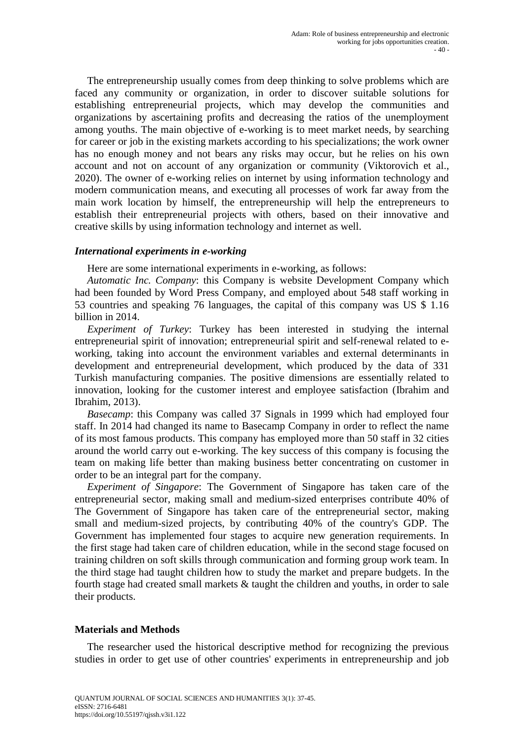The entrepreneurship usually comes from deep thinking to solve problems which are faced any community or organization, in order to discover suitable solutions for establishing entrepreneurial projects, which may develop the communities and organizations by ascertaining profits and decreasing the ratios of the unemployment among youths. The main objective of e-working is to meet market needs, by searching for career or job in the existing markets according to his specializations; the work owner has no enough money and not bears any risks may occur, but he relies on his own account and not on account of any organization or community (Viktorovich et al., 2020). The owner of e-working relies on internet by using information technology and modern communication means, and executing all processes of work far away from the main work location by himself, the entrepreneurship will help the entrepreneurs to establish their entrepreneurial projects with others, based on their innovative and creative skills by using information technology and internet as well.

## *International experiments in e-working*

Here are some international experiments in e-working, as follows:

*Automatic Inc. Company*: this Company is website Development Company which had been founded by Word Press Company, and employed about 548 staff working in 53 countries and speaking 76 languages, the capital of this company was US \$ 1.16 billion in 2014.

*Experiment of Turkey*: Turkey has been interested in studying the internal entrepreneurial spirit of innovation; entrepreneurial spirit and self-renewal related to eworking, taking into account the environment variables and external determinants in development and entrepreneurial development, which produced by the data of 331 Turkish manufacturing companies. The positive dimensions are essentially related to innovation, looking for the customer interest and employee satisfaction (Ibrahim and Ibrahim, 2013).

*Basecamp*: this Company was called 37 Signals in 1999 which had employed four staff. In 2014 had changed its name to Basecamp Company in order to reflect the name of its most famous products. This company has employed more than 50 staff in 32 cities around the world carry out e-working. The key success of this company is focusing the team on making life better than making business better concentrating on customer in order to be an integral part for the company.

*Experiment of Singapore*: The Government of Singapore has taken care of the entrepreneurial sector, making small and medium-sized enterprises contribute 40% of The Government of Singapore has taken care of the entrepreneurial sector, making small and medium-sized projects, by contributing 40% of the country's GDP. The Government has implemented four stages to acquire new generation requirements. In the first stage had taken care of children education, while in the second stage focused on training children on soft skills through communication and forming group work team. In the third stage had taught children how to study the market and prepare budgets. In the fourth stage had created small markets & taught the children and youths, in order to sale their products.

## **Materials and Methods**

The researcher used the historical descriptive method for recognizing the previous studies in order to get use of other countries' experiments in entrepreneurship and job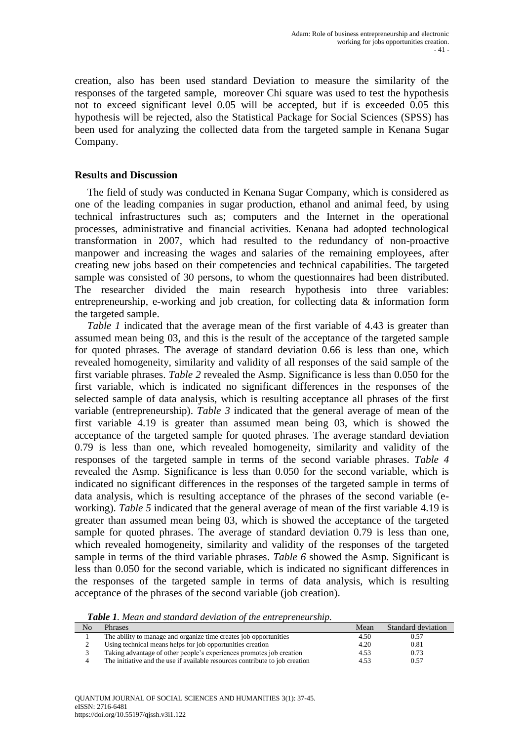creation, also has been used standard Deviation to measure the similarity of the responses of the targeted sample, moreover Chi square was used to test the hypothesis not to exceed significant level 0.05 will be accepted, but if is exceeded 0.05 this hypothesis will be rejected, also the Statistical Package for Social Sciences (SPSS) has been used for analyzing the collected data from the targeted sample in Kenana Sugar Company.

### **Results and Discussion**

The field of study was conducted in Kenana Sugar Company, which is considered as one of the leading companies in sugar production, ethanol and animal feed, by using technical infrastructures such as; computers and the Internet in the operational processes, administrative and financial activities. Kenana had adopted technological transformation in 2007, which had resulted to the redundancy of non-proactive manpower and increasing the wages and salaries of the remaining employees, after creating new jobs based on their competencies and technical capabilities. The targeted sample was consisted of 30 persons, to whom the questionnaires had been distributed. The researcher divided the main research hypothesis into three variables: entrepreneurship, e-working and job creation, for collecting data & information form the targeted sample.

*Table 1* indicated that the average mean of the first variable of 4.43 is greater than assumed mean being 03, and this is the result of the acceptance of the targeted sample for quoted phrases. The average of standard deviation 0.66 is less than one, which revealed homogeneity, similarity and validity of all responses of the said sample of the first variable phrases. *Table 2* revealed the Asmp. Significance is less than 0.050 for the first variable, which is indicated no significant differences in the responses of the selected sample of data analysis, which is resulting acceptance all phrases of the first variable (entrepreneurship). *Table 3* indicated that the general average of mean of the first variable 4.19 is greater than assumed mean being 03, which is showed the acceptance of the targeted sample for quoted phrases. The average standard deviation 0.79 is less than one, which revealed homogeneity, similarity and validity of the responses of the targeted sample in terms of the second variable phrases. *Table 4* revealed the Asmp. Significance is less than 0.050 for the second variable, which is indicated no significant differences in the responses of the targeted sample in terms of data analysis, which is resulting acceptance of the phrases of the second variable (eworking). *Table 5* indicated that the general average of mean of the first variable 4.19 is greater than assumed mean being 03, which is showed the acceptance of the targeted sample for quoted phrases. The average of standard deviation 0.79 is less than one, which revealed homogeneity, similarity and validity of the responses of the targeted sample in terms of the third variable phrases. *Table 6* showed the Asmp. Significant is less than 0.050 for the second variable, which is indicated no significant differences in the responses of the targeted sample in terms of data analysis, which is resulting acceptance of the phrases of the second variable (job creation).

*Table 1. Mean and standard deviation of the entrepreneurship.*

| No | <b>Phrases</b>                                                               | Mean | Standard deviation |
|----|------------------------------------------------------------------------------|------|--------------------|
|    | The ability to manage and organize time creates job opportunities            | 4.50 | 0.57               |
|    | Using technical means helps for job opportunities creation                   | 4.20 | 0.81               |
|    | Taking advantage of other people's experiences promotes job creation         | 4.53 | 0.73               |
|    | The initiative and the use if available resources contribute to job creation | 4.53 | 0.57               |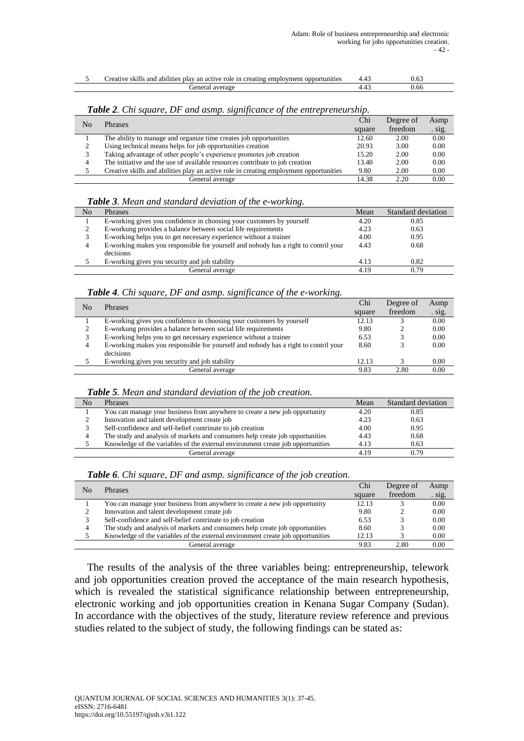| Creative skills and abilities play an active role in creating employment opportunities | 0.6. |
|----------------------------------------------------------------------------------------|------|
| General average                                                                        | 0.66 |

| No | <b>Phrases</b>                                                                         | Chi    | Degree of | Asmp |
|----|----------------------------------------------------------------------------------------|--------|-----------|------|
|    |                                                                                        | square | freedom   | sig. |
|    | The ability to manage and organize time creates job opportunities                      | 12.60  | 2.00      | 0.00 |
|    | Using technical means helps for job opportunities creation                             | 20.93  | 3.00      | 0.00 |
|    | Taking advantage of other people's experience promotes job creation                    | 15.20  | 2.00      | 0.00 |
|    | The initiative and the use of available resources contribute to job creation           | 13.40  | 2.00      | 0.00 |
|    | Creative skills and abilities play an active role in creating employment opportunities | 9.80   | 2.00      | 0.00 |
|    | General average                                                                        | 14.38  | 2.20      | 0.00 |

#### *Table 2. Chi square, DF and asmp. significance of the entrepreneurship.*

#### *Table 3. Mean and standard deviation of the e-working.*

| No | <b>Phrases</b>                                                                      | Mean | Standard deviation |
|----|-------------------------------------------------------------------------------------|------|--------------------|
|    | E-working gives you confidence in choosing your customers by yourself               | 4.20 | 0.85               |
|    | E-workung provides a balance between social life requirements                       | 4.23 | 0.63               |
|    | E-working helps you to get necessary experience without a trainer                   | 4.00 | 0.95               |
|    | E-working makes you responsible for yourself and nobody has a right to contril your | 4.43 | 0.68               |
|    | decisions                                                                           |      |                    |
|    | E-working gives you security and job stability                                      | 4.13 | 0.82               |
|    | General average                                                                     | 4.19 | 0.79               |

#### *Table 4. Chi square, DF and asmp. significance of the e-working.*

| No | <b>Phrases</b>                                                                      | Chi    | Degree of | Asmp |
|----|-------------------------------------------------------------------------------------|--------|-----------|------|
|    |                                                                                     | square | freedom   | sig. |
|    | E-working gives you confidence in choosing your customers by yourself               | 12.13  |           | 0.00 |
|    | E-workung provides a balance between social life requirements                       | 9.80   |           | 0.00 |
|    | E-working helps you to get necessary experience without a trainer                   | 6.53   |           | 0.00 |
| 4  | E-working makes you responsible for yourself and nobody has a right to contril your | 8.60   |           | 0.00 |
|    | decisions                                                                           |        |           |      |
|    | E-working gives you security and job stability                                      | 12.13  |           | 0.00 |
|    | General average                                                                     | 9.83   | 2.80      | 0.00 |

#### *Table 5. Mean and standard deviation of the job creation.*

| No | <b>Phrases</b>                                                                  | Mean | Standard deviation |
|----|---------------------------------------------------------------------------------|------|--------------------|
|    | You can manage your business from anywhere to create a new job opportunity      | 4.20 | 0.85               |
|    | Innovation and talent development create job                                    | 4.23 | 0.63               |
|    | Self-confidence and self-belief contrinute to job creation                      | 4.00 | 0.95               |
|    | The study and analysis of markets and consumers help create job opportunities   | 4.43 | 0.68               |
|    | Knowledge of the variables of the external environment create job opportunities | 4.13 | 0.63               |
|    | General average                                                                 | 4.19 | 0.79               |

#### *Table 6. Chi square, DF and asmp. significance of the job creation.*

| No | <b>Phrases</b>                                                                  | Chi    | Degree of | Asmp |
|----|---------------------------------------------------------------------------------|--------|-----------|------|
|    |                                                                                 | square | freedom   | sig. |
|    | You can manage your business from anywhere to create a new job opportunity      | 12.13  |           | 0.00 |
|    | Innovation and talent development create job                                    | 9.80   |           | 0.00 |
|    | Self-confidence and self-belief contrinute to job creation                      | 6.53   |           | 0.00 |
|    | The study and analysis of markets and consumers help create job opportunities   | 8.60   |           | 0.00 |
|    | Knowledge of the variables of the external environment create job opportunities | 12.13  |           | 0.00 |
|    | General average                                                                 | 9.83   | 2.80      | 0.00 |

The results of the analysis of the three variables being: entrepreneurship, telework and job opportunities creation proved the acceptance of the main research hypothesis, which is revealed the statistical significance relationship between entrepreneurship, electronic working and job opportunities creation in Kenana Sugar Company (Sudan). In accordance with the objectives of the study, literature review reference and previous studies related to the subject of study, the following findings can be stated as: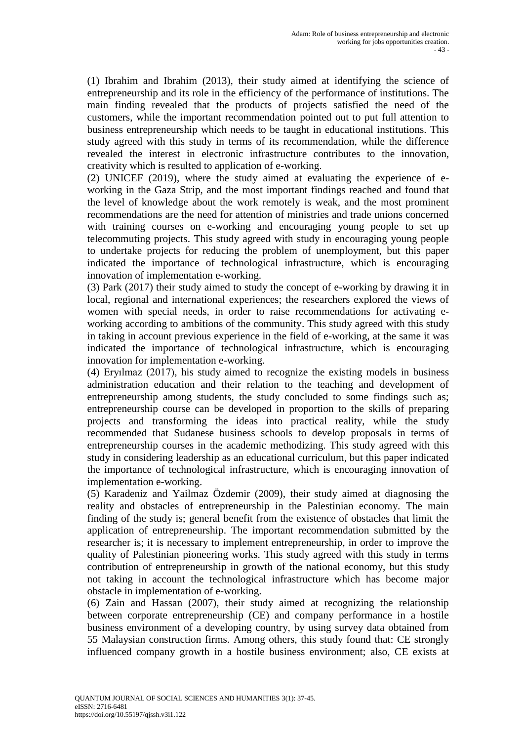(1) Ibrahim and Ibrahim (2013), their study aimed at identifying the science of entrepreneurship and its role in the efficiency of the performance of institutions. The main finding revealed that the products of projects satisfied the need of the customers, while the important recommendation pointed out to put full attention to business entrepreneurship which needs to be taught in educational institutions. This study agreed with this study in terms of its recommendation, while the difference revealed the interest in electronic infrastructure contributes to the innovation, creativity which is resulted to application of e-working.

(2) UNICEF (2019), where the study aimed at evaluating the experience of eworking in the Gaza Strip, and the most important findings reached and found that the level of knowledge about the work remotely is weak, and the most prominent recommendations are the need for attention of ministries and trade unions concerned with training courses on e-working and encouraging young people to set up telecommuting projects. This study agreed with study in encouraging young people to undertake projects for reducing the problem of unemployment, but this paper indicated the importance of technological infrastructure, which is encouraging innovation of implementation e-working.

(3) Park (2017) their study aimed to study the concept of e-working by drawing it in local, regional and international experiences; the researchers explored the views of women with special needs, in order to raise recommendations for activating eworking according to ambitions of the community. This study agreed with this study in taking in account previous experience in the field of e-working, at the same it was indicated the importance of technological infrastructure, which is encouraging innovation for implementation e-working.

(4) Eryılmaz (2017), his study aimed to recognize the existing models in business administration education and their relation to the teaching and development of entrepreneurship among students, the study concluded to some findings such as; entrepreneurship course can be developed in proportion to the skills of preparing projects and transforming the ideas into practical reality, while the study recommended that Sudanese business schools to develop proposals in terms of entrepreneurship courses in the academic methodizing. This study agreed with this study in considering leadership as an educational curriculum, but this paper indicated the importance of technological infrastructure, which is encouraging innovation of implementation e-working.

(5) Karadeniz and Yailmaz Özdemir (2009), their study aimed at diagnosing the reality and obstacles of entrepreneurship in the Palestinian economy. The main finding of the study is; general benefit from the existence of obstacles that limit the application of entrepreneurship. The important recommendation submitted by the researcher is; it is necessary to implement entrepreneurship, in order to improve the quality of Palestinian pioneering works. This study agreed with this study in terms contribution of entrepreneurship in growth of the national economy, but this study not taking in account the technological infrastructure which has become major obstacle in implementation of e-working.

(6) Zain and Hassan (2007), their study aimed at recognizing the relationship between corporate entrepreneurship (CE) and company performance in a hostile business environment of a developing country, by using survey data obtained from 55 Malaysian construction firms. Among others, this study found that: CE strongly influenced company growth in a hostile business environment; also, CE exists at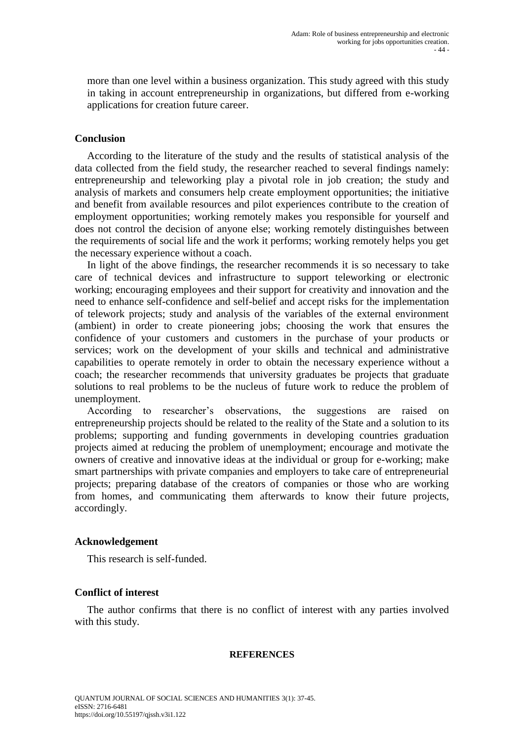more than one level within a business organization. This study agreed with this study in taking in account entrepreneurship in organizations, but differed from e-working applications for creation future career.

### **Conclusion**

According to the literature of the study and the results of statistical analysis of the data collected from the field study, the researcher reached to several findings namely: entrepreneurship and teleworking play a pivotal role in job creation; the study and analysis of markets and consumers help create employment opportunities; the initiative and benefit from available resources and pilot experiences contribute to the creation of employment opportunities; working remotely makes you responsible for yourself and does not control the decision of anyone else; working remotely distinguishes between the requirements of social life and the work it performs; working remotely helps you get the necessary experience without a coach.

In light of the above findings, the researcher recommends it is so necessary to take care of technical devices and infrastructure to support teleworking or electronic working; encouraging employees and their support for creativity and innovation and the need to enhance self-confidence and self-belief and accept risks for the implementation of telework projects; study and analysis of the variables of the external environment (ambient) in order to create pioneering jobs; choosing the work that ensures the confidence of your customers and customers in the purchase of your products or services; work on the development of your skills and technical and administrative capabilities to operate remotely in order to obtain the necessary experience without a coach; the researcher recommends that university graduates be projects that graduate solutions to real problems to be the nucleus of future work to reduce the problem of unemployment.

According to researcher's observations, the suggestions are raised on entrepreneurship projects should be related to the reality of the State and a solution to its problems; supporting and funding governments in developing countries graduation projects aimed at reducing the problem of unemployment; encourage and motivate the owners of creative and innovative ideas at the individual or group for e-working; make smart partnerships with private companies and employers to take care of entrepreneurial projects; preparing database of the creators of companies or those who are working from homes, and communicating them afterwards to know their future projects, accordingly.

### **Acknowledgement**

This research is self-funded.

### **Conflict of interest**

The author confirms that there is no conflict of interest with any parties involved with this study.

#### **REFERENCES**